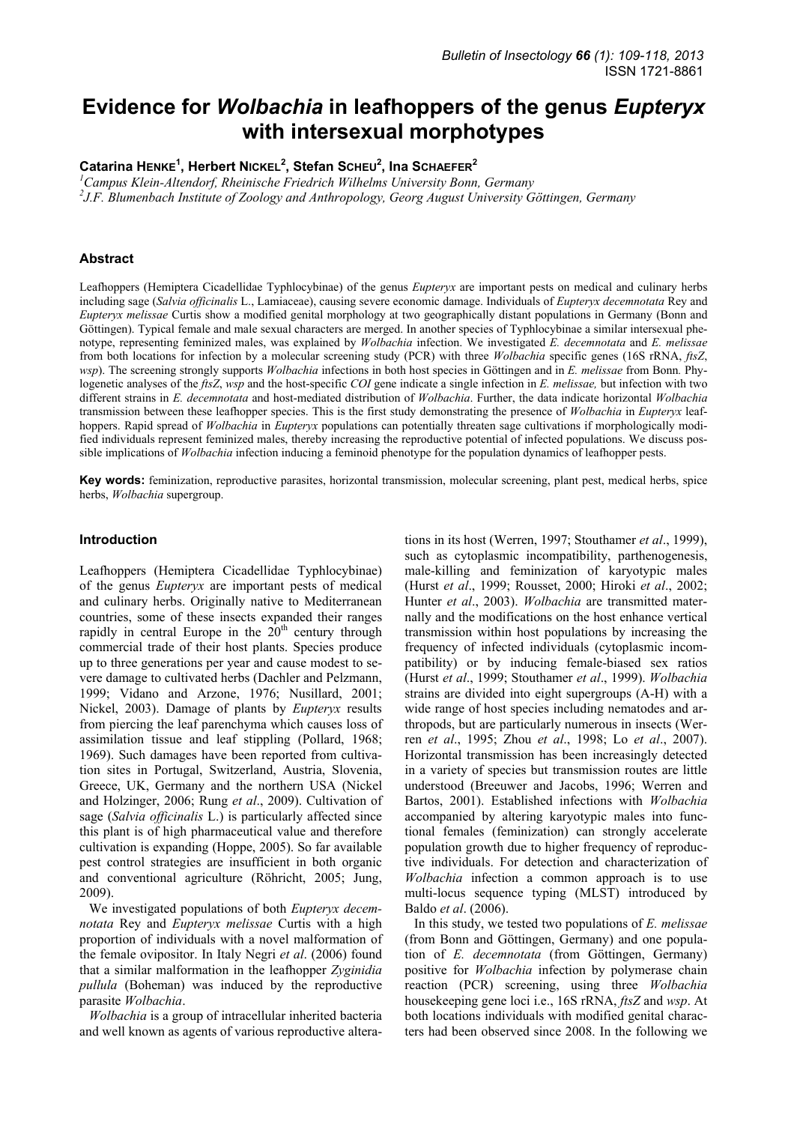# **Evidence for** *Wolbachia* **in leafhoppers of the genus** *Eupteryx* **with intersexual morphotypes**

**Catarina HENKE<sup>1</sup> , Herbert NICKEL2 , Stefan SCHEU<sup>2</sup> , Ina SCHAEFER<sup>2</sup>**

<sup>1</sup> Campus Klein-Altendorf, Rheinische Friedrich Wilhelms University Bonn, Germany 2<br><sup>2</sup> LE Plymanhach Institute of Zoology and Anthropology, Georg August University G

*J.F. Blumenbach Institute of Zoology and Anthropology, Georg August University Göttingen, Germany* 

#### **Abstract**

Leafhoppers (Hemiptera Cicadellidae Typhlocybinae) of the genus *Eupteryx* are important pests on medical and culinary herbs including sage (*Salvia officinalis* L., Lamiaceae), causing severe economic damage. Individuals of *Eupteryx decemnotata* Rey and *Eupteryx melissae* Curtis show a modified genital morphology at two geographically distant populations in Germany (Bonn and Göttingen). Typical female and male sexual characters are merged. In another species of Typhlocybinae a similar intersexual phenotype, representing feminized males, was explained by *Wolbachia* infection. We investigated *E. decemnotata* and *E. melissae*  from both locations for infection by a molecular screening study (PCR) with three *Wolbachia* specific genes (16S rRNA, *ftsZ*, *wsp*). The screening strongly supports *Wolbachia* infections in both host species in Göttingen and in *E. melissae* from Bonn*.* Phylogenetic analyses of the *ftsZ*, *wsp* and the host-specific *COI* gene indicate a single infection in *E. melissae,* but infection with two different strains in *E. decemnotata* and host-mediated distribution of *Wolbachia*. Further, the data indicate horizontal *Wolbachia* transmission between these leafhopper species. This is the first study demonstrating the presence of *Wolbachia* in *Eupteryx* leafhoppers. Rapid spread of *Wolbachia* in *Eupteryx* populations can potentially threaten sage cultivations if morphologically modified individuals represent feminized males, thereby increasing the reproductive potential of infected populations. We discuss possible implications of *Wolbachia* infection inducing a feminoid phenotype for the population dynamics of leafhopper pests.

**Key words:** feminization, reproductive parasites, horizontal transmission, molecular screening, plant pest, medical herbs, spice herbs, *Wolbachia* supergroup.

#### **Introduction**

Leafhoppers (Hemiptera Cicadellidae Typhlocybinae) of the genus *Eupteryx* are important pests of medical and culinary herbs. Originally native to Mediterranean countries, some of these insects expanded their ranges rapidly in central Europe in the  $20<sup>th</sup>$  century through commercial trade of their host plants. Species produce up to three generations per year and cause modest to severe damage to cultivated herbs (Dachler and Pelzmann, 1999; Vidano and Arzone, 1976; Nusillard, 2001; Nickel, 2003). Damage of plants by *Eupteryx* results from piercing the leaf parenchyma which causes loss of assimilation tissue and leaf stippling (Pollard, 1968; 1969). Such damages have been reported from cultivation sites in Portugal, Switzerland, Austria, Slovenia, Greece, UK, Germany and the northern USA (Nickel and Holzinger, 2006; Rung *et al*., 2009). Cultivation of sage (*Salvia officinalis* L.) is particularly affected since this plant is of high pharmaceutical value and therefore cultivation is expanding (Hoppe, 2005). So far available pest control strategies are insufficient in both organic and conventional agriculture (Röhricht, 2005; Jung, 2009).

We investigated populations of both *Eupteryx decemnotata* Rey and *Eupteryx melissae* Curtis with a high proportion of individuals with a novel malformation of the female ovipositor. In Italy Negri *et al*. (2006) found that a similar malformation in the leafhopper *Zyginidia pullula* (Boheman) was induced by the reproductive parasite *Wolbachia*.

*Wolbachia* is a group of intracellular inherited bacteria and well known as agents of various reproductive alterations in its host (Werren, 1997; Stouthamer *et al*., 1999), such as cytoplasmic incompatibility, parthenogenesis, male-killing and feminization of karyotypic males (Hurst *et al*., 1999; Rousset, 2000; Hiroki *et al*., 2002; Hunter *et al*., 2003). *Wolbachia* are transmitted maternally and the modifications on the host enhance vertical transmission within host populations by increasing the frequency of infected individuals (cytoplasmic incompatibility) or by inducing female-biased sex ratios (Hurst *et al*., 1999; Stouthamer *et al*., 1999). *Wolbachia* strains are divided into eight supergroups (A-H) with a wide range of host species including nematodes and arthropods, but are particularly numerous in insects (Werren *et al*., 1995; Zhou *et al*., 1998; Lo *et al*., 2007). Horizontal transmission has been increasingly detected in a variety of species but transmission routes are little understood (Breeuwer and Jacobs, 1996; Werren and Bartos, 2001). Established infections with *Wolbachia* accompanied by altering karyotypic males into functional females (feminization) can strongly accelerate population growth due to higher frequency of reproductive individuals. For detection and characterization of *Wolbachia* infection a common approach is to use multi-locus sequence typing (MLST) introduced by Baldo *et al*. (2006).

In this study, we tested two populations of *E. melissae* (from Bonn and Göttingen, Germany) and one population of *E. decemnotata* (from Göttingen, Germany) positive for *Wolbachia* infection by polymerase chain reaction (PCR) screening, using three *Wolbachia* housekeeping gene loci i.e., 16S rRNA, *ftsZ* and *wsp*. At both locations individuals with modified genital characters had been observed since 2008. In the following we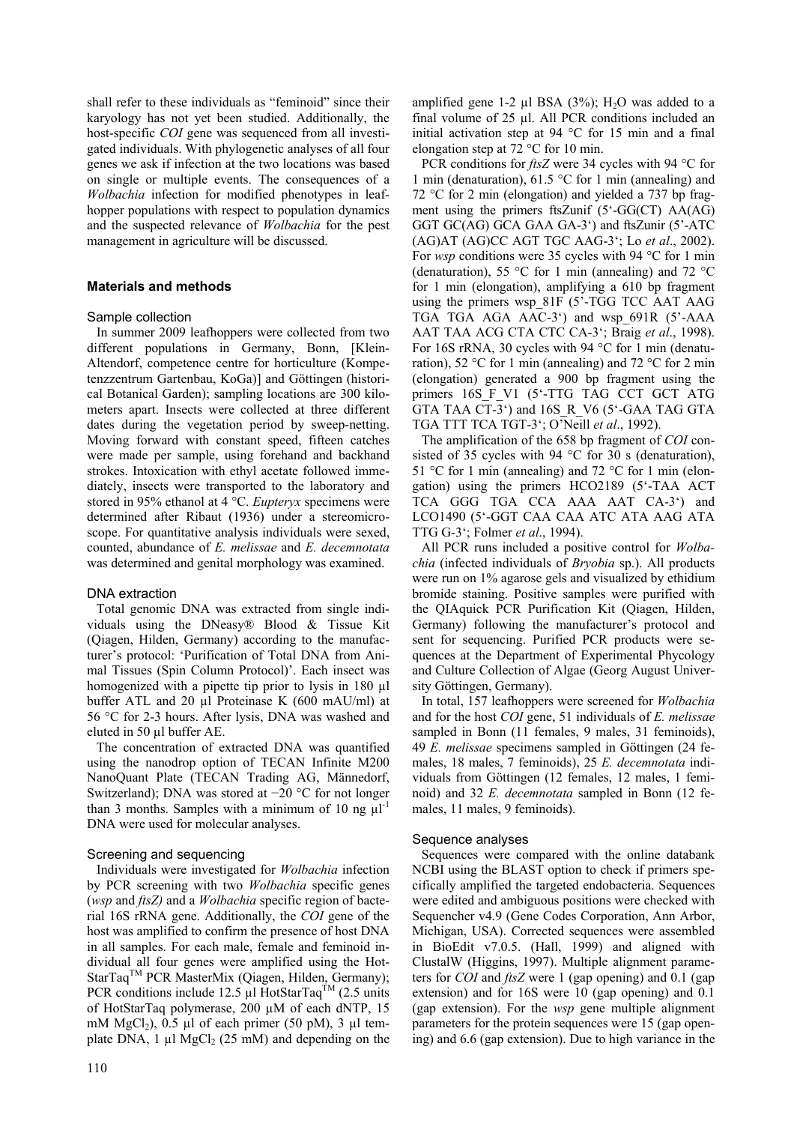shall refer to these individuals as "feminoid" since their karyology has not yet been studied. Additionally, the host-specific *COI* gene was sequenced from all investigated individuals. With phylogenetic analyses of all four genes we ask if infection at the two locations was based on single or multiple events. The consequences of a *Wolbachia* infection for modified phenotypes in leafhopper populations with respect to population dynamics and the suspected relevance of *Wolbachia* for the pest management in agriculture will be discussed.

## **Materials and methods**

## Sample collection

In summer 2009 leafhoppers were collected from two different populations in Germany, Bonn, [Klein-Altendorf, competence centre for horticulture (Kompetenzzentrum Gartenbau, KoGa)] and Göttingen (historical Botanical Garden); sampling locations are 300 kilometers apart. Insects were collected at three different dates during the vegetation period by sweep-netting. Moving forward with constant speed, fifteen catches were made per sample, using forehand and backhand strokes. Intoxication with ethyl acetate followed immediately, insects were transported to the laboratory and stored in 95% ethanol at 4 °C. *Eupteryx* specimens were determined after Ribaut (1936) under a stereomicroscope. For quantitative analysis individuals were sexed, counted, abundance of *E. melissae* and *E. decemnotata* was determined and genital morphology was examined.

## DNA extraction

Total genomic DNA was extracted from single individuals using the DNeasy® Blood & Tissue Kit (Qiagen, Hilden, Germany) according to the manufacturer's protocol: 'Purification of Total DNA from Animal Tissues (Spin Column Protocol)'. Each insect was homogenized with a pipette tip prior to lysis in 180 µl buffer ATL and 20 µl Proteinase K (600 mAU/ml) at 56 °C for 2-3 hours. After lysis, DNA was washed and eluted in 50 µl buffer AE.

The concentration of extracted DNA was quantified using the nanodrop option of TECAN Infinite M200 NanoQuant Plate (TECAN Trading AG, Männedorf, Switzerland); DNA was stored at −20 °C for not longer than 3 months. Samples with a minimum of 10 ng  $\mu$ l<sup>-1</sup> DNA were used for molecular analyses.

## Screening and sequencing

Individuals were investigated for *Wolbachia* infection by PCR screening with two *Wolbachia* specific genes (*wsp* and *ftsZ)* and a *Wolbachia* specific region of bacterial 16S rRNA gene. Additionally, the *COI* gene of the host was amplified to confirm the presence of host DNA in all samples. For each male, female and feminoid individual all four genes were amplified using the Hot-StarTaq<sup>TM</sup> PCR MasterMix (Oiagen, Hilden, Germany); PCR conditions include 12.5  $\mu$ l HotStarTag<sup>TM</sup> (2.5 units of HotStarTaq polymerase, 200 µM of each dNTP, 15 mM  $MgCl<sub>2</sub>$ ), 0.5 µl of each primer (50 pM), 3 µl template DNA,  $1 \mu$ l MgCl<sub>2</sub> (25 mM) and depending on the amplified gene 1-2  $\mu$ l BSA (3%); H<sub>2</sub>O was added to a final volume of 25 µl. All PCR conditions included an initial activation step at 94 °C for 15 min and a final elongation step at 72 °C for 10 min.

PCR conditions for *ftsZ* were 34 cycles with 94 °C for 1 min (denaturation), 61.5 °C for 1 min (annealing) and 72 °C for 2 min (elongation) and yielded a 737 bp fragment using the primers ftsZunif (5'-GG(CT) AA(AG) GGT GC(AG) GCA GAA GA-3') and ftsZunir (5'-ATC (AG)AT (AG)CC AGT TGC AAG-3'; Lo *et al*., 2002). For *wsp* conditions were 35 cycles with 94 °C for 1 min (denaturation), 55 °C for 1 min (annealing) and 72 °C for 1 min (elongation), amplifying a 610 bp fragment using the primers wsp 81F (5'-TGG TCC AAT AAG TGA TGA AGA AAC-3') and wsp\_691R (5'-AAA AAT TAA ACG CTA CTC CA-3'; Braig *et al*., 1998). For 16S rRNA, 30 cycles with 94 °C for 1 min (denaturation), 52 °C for 1 min (annealing) and 72 °C for 2 min (elongation) generated a 900 bp fragment using the primers 16S F V1 (5'-TTG TAG CCT GCT ATG GTA TAA CT-3') and 16S\_R\_V6 (5'-GAA TAG GTA TGA TTT TCA TGT-3'; O'Neill *et al*., 1992).

The amplification of the 658 bp fragment of *COI* consisted of 35 cycles with 94 °C for 30 s (denaturation), 51 °C for 1 min (annealing) and 72 °C for 1 min (elongation) using the primers HCO2189 (5'-TAA ACT TCA GGG TGA CCA AAA AAT CA-3') and LCO1490 (5'-GGT CAA CAA ATC ATA AAG ATA TTG G-3'; Folmer *et al*., 1994).

All PCR runs included a positive control for *Wolbachia* (infected individuals of *Bryobia* sp.). All products were run on 1% agarose gels and visualized by ethidium bromide staining. Positive samples were purified with the QIAquick PCR Purification Kit (Qiagen, Hilden, Germany) following the manufacturer's protocol and sent for sequencing. Purified PCR products were sequences at the Department of Experimental Phycology and Culture Collection of Algae (Georg August University Göttingen, Germany).

In total, 157 leafhoppers were screened for *Wolbachia*  and for the host *COI* gene, 51 individuals of *E. melissae*  sampled in Bonn (11 females, 9 males, 31 feminoids), 49 *E. melissae* specimens sampled in Göttingen (24 females, 18 males, 7 feminoids), 25 *E. decemnotata* individuals from Göttingen (12 females, 12 males, 1 feminoid) and 32 *E. decemnotata* sampled in Bonn (12 females, 11 males, 9 feminoids).

## Sequence analyses

Sequences were compared with the online databank NCBI using the BLAST option to check if primers specifically amplified the targeted endobacteria. Sequences were edited and ambiguous positions were checked with Sequencher v4.9 (Gene Codes Corporation, Ann Arbor, Michigan, USA). Corrected sequences were assembled in BioEdit v7.0.5. (Hall, 1999) and aligned with ClustalW (Higgins, 1997). Multiple alignment parameters for *COI* and *ftsZ* were 1 (gap opening) and 0.1 (gap extension) and for 16S were 10 (gap opening) and 0.1 (gap extension). For the *wsp* gene multiple alignment parameters for the protein sequences were 15 (gap opening) and 6.6 (gap extension). Due to high variance in the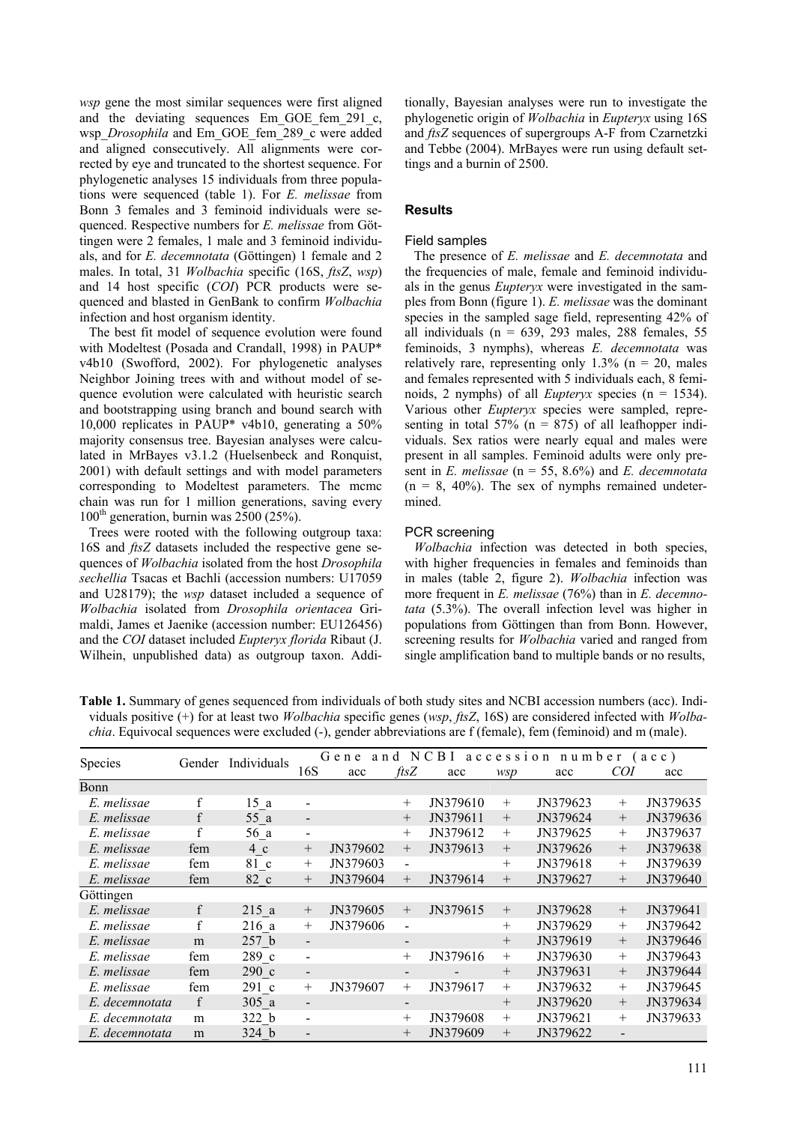*wsp* gene the most similar sequences were first aligned and the deviating sequences Em\_GOE\_fem\_291\_c, wsp *Drosophila* and Em GOE fem<sup>289</sup> c were added and aligned consecutively. All alignments were corrected by eye and truncated to the shortest sequence. For phylogenetic analyses 15 individuals from three populations were sequenced (table 1). For *E. melissae* from Bonn 3 females and 3 feminoid individuals were sequenced. Respective numbers for *E. melissae* from Göttingen were 2 females, 1 male and 3 feminoid individuals, and for *E. decemnotata* (Göttingen) 1 female and 2 males. In total, 31 *Wolbachia* specific (16S, *ftsZ*, *wsp*) and 14 host specific (*COI*) PCR products were sequenced and blasted in GenBank to confirm *Wolbachia* infection and host organism identity.

The best fit model of sequence evolution were found with Modeltest (Posada and Crandall, 1998) in PAUP\* v4b10 (Swofford, 2002). For phylogenetic analyses Neighbor Joining trees with and without model of sequence evolution were calculated with heuristic search and bootstrapping using branch and bound search with 10,000 replicates in PAUP\* v4b10, generating a 50% majority consensus tree. Bayesian analyses were calculated in MrBayes v3.1.2 (Huelsenbeck and Ronquist, 2001) with default settings and with model parameters corresponding to Modeltest parameters. The mcmc chain was run for 1 million generations, saving every  $100<sup>th</sup>$  generation, burnin was 2500 (25%).

Trees were rooted with the following outgroup taxa: 16S and *ftsZ* datasets included the respective gene sequences of *Wolbachia* isolated from the host *Drosophila sechellia* Tsacas et Bachli (accession numbers: U17059 and U28179); the *wsp* dataset included a sequence of *Wolbachia* isolated from *Drosophila orientacea* Grimaldi, James et Jaenike (accession number: EU126456) and the *COI* dataset included *Eupteryx florida* Ribaut (J. Wilhein, unpublished data) as outgroup taxon. Additionally, Bayesian analyses were run to investigate the phylogenetic origin of *Wolbachia* in *Eupteryx* using 16S and *ftsZ* sequences of supergroups A-F from Czarnetzki and Tebbe (2004). MrBayes were run using default settings and a burnin of 2500.

## **Results**

#### Field samples

The presence of *E. melissae* and *E. decemnotata* and the frequencies of male, female and feminoid individuals in the genus *Eupteryx* were investigated in the samples from Bonn (figure 1). *E. melissae* was the dominant species in the sampled sage field, representing 42% of all individuals ( $n = 639, 293$  males, 288 females, 55 feminoids, 3 nymphs), whereas *E. decemnotata* was relatively rare, representing only  $1.3\%$  (n = 20, males and females represented with 5 individuals each, 8 feminoids, 2 nymphs) of all *Eupteryx* species (n = 1534). Various other *Eupteryx* species were sampled, representing in total 57% ( $n = 875$ ) of all leafhopper individuals. Sex ratios were nearly equal and males were present in all samples. Feminoid adults were only present in *E. melissae* (n = 55, 8.6%) and *E. decemnotata*  $(n = 8, 40\%)$ . The sex of nymphs remained undetermined.

#### PCR screening

*Wolbachia* infection was detected in both species, with higher frequencies in females and feminoids than in males (table 2, figure 2). *Wolbachia* infection was more frequent in *E. melissae* (76%) than in *E. decemnotata* (5.3%). The overall infection level was higher in populations from Göttingen than from Bonn. However, screening results for *Wolbachia* varied and ranged from single amplification band to multiple bands or no results,

| 1 1 5 D        |              |                    |                                               |          |                          |          |            |          |        |          |
|----------------|--------------|--------------------|-----------------------------------------------|----------|--------------------------|----------|------------|----------|--------|----------|
| Species        |              | Gender Individuals | Gene<br>NCBI<br>accession number (acc)<br>and |          |                          |          |            |          |        |          |
|                |              |                    | 16S                                           | acc      | $\mathit{ftsZ}$          | acc      | <i>wsp</i> | acc      | COI    | acc      |
| Bonn           |              |                    |                                               |          |                          |          |            |          |        |          |
| E. melissae    | f            | 15a                | $\overline{\phantom{a}}$                      |          | $^{+}$                   | JN379610 | $+$        | JN379623 | $+$    | JN379635 |
| E. melissae    | f            | 55 a               | $\overline{\phantom{a}}$                      |          | $^{+}$                   | JN379611 | $^{+}$     | JN379624 | $^{+}$ | JN379636 |
| E. melissae    |              | 56 a               | $\overline{\phantom{a}}$                      |          | $^{+}$                   | JN379612 | $^{+}$     | JN379625 | $+$    | JN379637 |
| E. melissae    | fem          | 4c                 | $^{+}$                                        | JN379602 | $^{+}$                   | JN379613 | $^{+}$     | JN379626 | $+$    | JN379638 |
| E. melissae    | fem          | 81 c               | $^{+}$                                        | JN379603 | $\overline{\phantom{a}}$ |          | $+$        | JN379618 | $+$    | JN379639 |
| E. melissae    | fem          | 82 c               | $^{+}$                                        | JN379604 | $^{+}$                   | JN379614 | $^{+}$     | JN379627 | $^{+}$ | JN379640 |
| Göttingen      |              |                    |                                               |          |                          |          |            |          |        |          |
| E. melissae    | $\mathbf{f}$ | 215a               | $^{+}$                                        | JN379605 | $^{+}$                   | JN379615 | $+$        | JN379628 | $^{+}$ | JN379641 |
| E. melissae    | f            | 216a               | $^{+}$                                        | JN379606 | $\overline{\phantom{a}}$ |          | $+$        | JN379629 | $^{+}$ | JN379642 |
| E. melissae    | m            | 257 <sub>b</sub>   | $\overline{\phantom{a}}$                      |          | $\overline{\phantom{a}}$ |          | $^{+}$     | JN379619 | $^{+}$ | JN379646 |
| E. melissae    | fem          | 289 с              | $\overline{\phantom{a}}$                      |          | $^{+}$                   | JN379616 | $^{+}$     | JN379630 | $^{+}$ | JN379643 |
| E. melissae    | fem          | 290 с              | $\overline{\phantom{0}}$                      |          | $\overline{\phantom{a}}$ |          | $^{+}$     | JN379631 | $^{+}$ | JN379644 |
| E. melissae    | fem          | 291 c              | $^{+}$                                        | JN379607 | $^{+}$                   | JN379617 | $+$        | JN379632 | $+$    | JN379645 |
| E. decemnotata | f            | 305a               | $\blacksquare$                                |          |                          |          | $^{+}$     | JN379620 | $^{+}$ | JN379634 |
| E. decemnotata | m            | 322 b              | $\blacksquare$                                |          | $^{+}$                   | JN379608 | $^{+}$     | JN379621 | $^{+}$ | JN379633 |
| E. decemnotata | m            | 324 b              | $\overline{\phantom{a}}$                      |          | $^{+}$                   | JN379609 | $^{+}$     | JN379622 |        |          |

**Table 1.** Summary of genes sequenced from individuals of both study sites and NCBI accession numbers (acc). Individuals positive (+) for at least two *Wolbachia* specific genes (*wsp*, *ftsZ*, 16S) are considered infected with *Wolbachia*. Equivocal sequences were excluded (-), gender abbreviations are f (female), fem (feminoid) and m (male).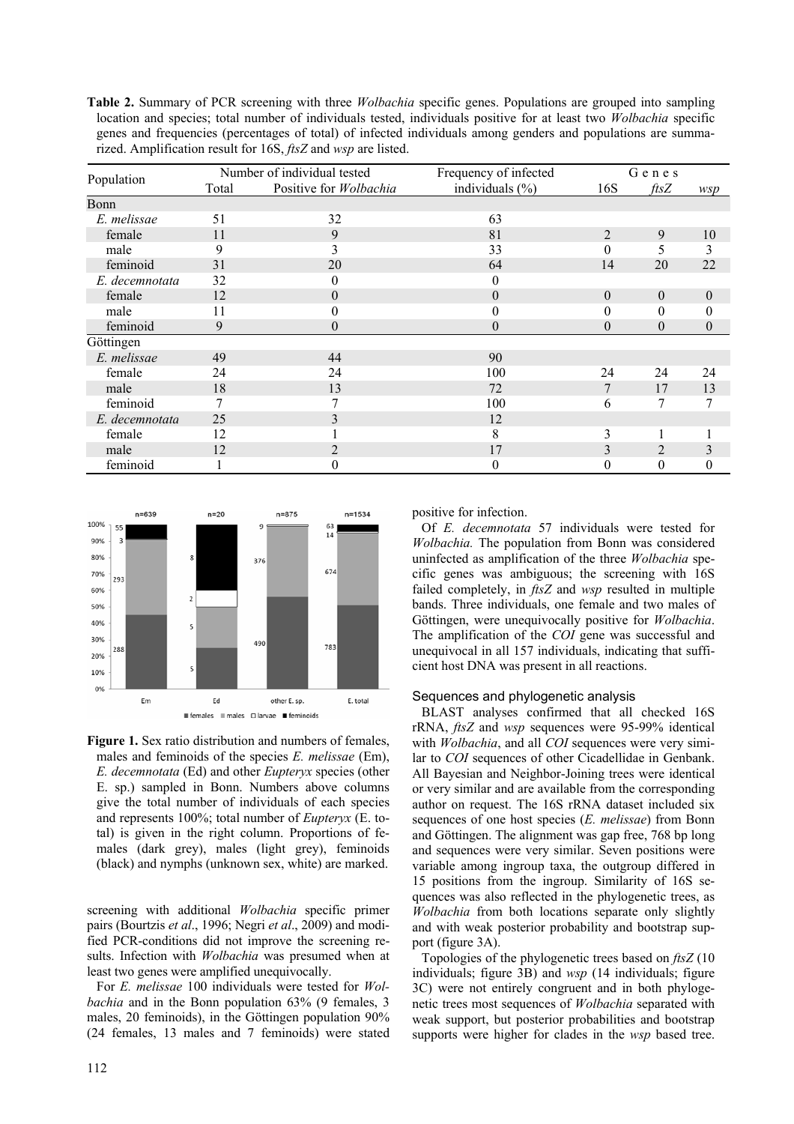**Table 2.** Summary of PCR screening with three *Wolbachia* specific genes. Populations are grouped into sampling location and species; total number of individuals tested, individuals positive for at least two *Wolbachia* specific genes and frequencies (percentages of total) of infected individuals among genders and populations are summarized. Amplification result for 16S, *ftsZ* and *wsp* are listed.

| Population     |                                 | Number of individual tested | Frequency of infected | Genes            |                 |                  |
|----------------|---------------------------------|-----------------------------|-----------------------|------------------|-----------------|------------------|
|                | Positive for Wolbachia<br>Total |                             | individuals $(\% )$   | 16S              | $\mathit{ftsZ}$ | wsp              |
| Bonn           |                                 |                             |                       |                  |                 |                  |
| E. melissae    | 51                              | 32                          | 63                    |                  |                 |                  |
| female         | 11                              | 9                           | 81                    | $\overline{2}$   | 9               | 10               |
| male           | 9                               | 3                           | 33                    | $\theta$         | 5               | 3                |
| feminoid       | 31                              | 20                          | 64                    | 14               | 20              | 22               |
| E. decemnotata | 32                              | $\theta$                    | 0                     |                  |                 |                  |
| female         | 12                              | $\overline{0}$              | $\theta$              | $\mathbf{0}$     | $\mathbf{0}$    | $\boldsymbol{0}$ |
| male           | 11                              | $_{0}$                      | 0                     | $\boldsymbol{0}$ | $\theta$        | $\theta$         |
| feminoid       | 9                               | $\theta$                    | $\theta$              | $\overline{0}$   | $\overline{0}$  | $\boldsymbol{0}$ |
| Göttingen      |                                 |                             |                       |                  |                 |                  |
| E. melissae    | 49                              | 44                          | 90                    |                  |                 |                  |
| female         | 24                              | 24                          | 100                   | 24               | 24              | 24               |
| male           | 18                              | 13                          | 72                    | 7                | 17              | 13               |
| feminoid       | 7                               | 7                           | 100                   | 6                | 7               | 7                |
| E. decemnotata | 25                              | 3                           | 12                    |                  |                 |                  |
| female         | 12                              |                             | 8                     | 3                |                 |                  |
| male           | 12                              | 2                           | 17                    | 3                | $\overline{2}$  | 3                |
| feminoid       |                                 | $\theta$                    | 0                     | $\mathbf{0}$     | $\theta$        | $\theta$         |



**Figure 1.** Sex ratio distribution and numbers of females, males and feminoids of the species *E. melissae* (Em), *E. decemnotata* (Ed) and other *Eupteryx* species (other E. sp.) sampled in Bonn. Numbers above columns give the total number of individuals of each species and represents 100%; total number of *Eupteryx* (E. total) is given in the right column. Proportions of females (dark grey), males (light grey), feminoids (black) and nymphs (unknown sex, white) are marked.

screening with additional *Wolbachia* specific primer pairs (Bourtzis *et al*., 1996; Negri *et al*., 2009) and modified PCR-conditions did not improve the screening results. Infection with *Wolbachia* was presumed when at least two genes were amplified unequivocally.

For *E. melissae* 100 individuals were tested for *Wolbachia* and in the Bonn population 63% (9 females, 3 males, 20 feminoids), in the Göttingen population 90% (24 females, 13 males and 7 feminoids) were stated positive for infection.

Of *E. decemnotata* 57 individuals were tested for *Wolbachia.* The population from Bonn was considered uninfected as amplification of the three *Wolbachia* specific genes was ambiguous; the screening with 16S failed completely, in *ftsZ* and *wsp* resulted in multiple bands. Three individuals, one female and two males of Göttingen, were unequivocally positive for *Wolbachia*. The amplification of the *COI* gene was successful and unequivocal in all 157 individuals, indicating that sufficient host DNA was present in all reactions.

#### Sequences and phylogenetic analysis

BLAST analyses confirmed that all checked 16S rRNA, *ftsZ* and *wsp* sequences were 95-99% identical with *Wolbachia*, and all *COI* sequences were very similar to *COI* sequences of other Cicadellidae in Genbank. All Bayesian and Neighbor-Joining trees were identical or very similar and are available from the corresponding author on request. The 16S rRNA dataset included six sequences of one host species (*E. melissae*) from Bonn and Göttingen. The alignment was gap free, 768 bp long and sequences were very similar. Seven positions were variable among ingroup taxa, the outgroup differed in 15 positions from the ingroup. Similarity of 16S sequences was also reflected in the phylogenetic trees, as *Wolbachia* from both locations separate only slightly and with weak posterior probability and bootstrap support (figure 3A).

Topologies of the phylogenetic trees based on *ftsZ* (10 individuals; figure 3B) and *wsp* (14 individuals; figure 3C) were not entirely congruent and in both phylogenetic trees most sequences of *Wolbachia* separated with weak support, but posterior probabilities and bootstrap supports were higher for clades in the *wsp* based tree.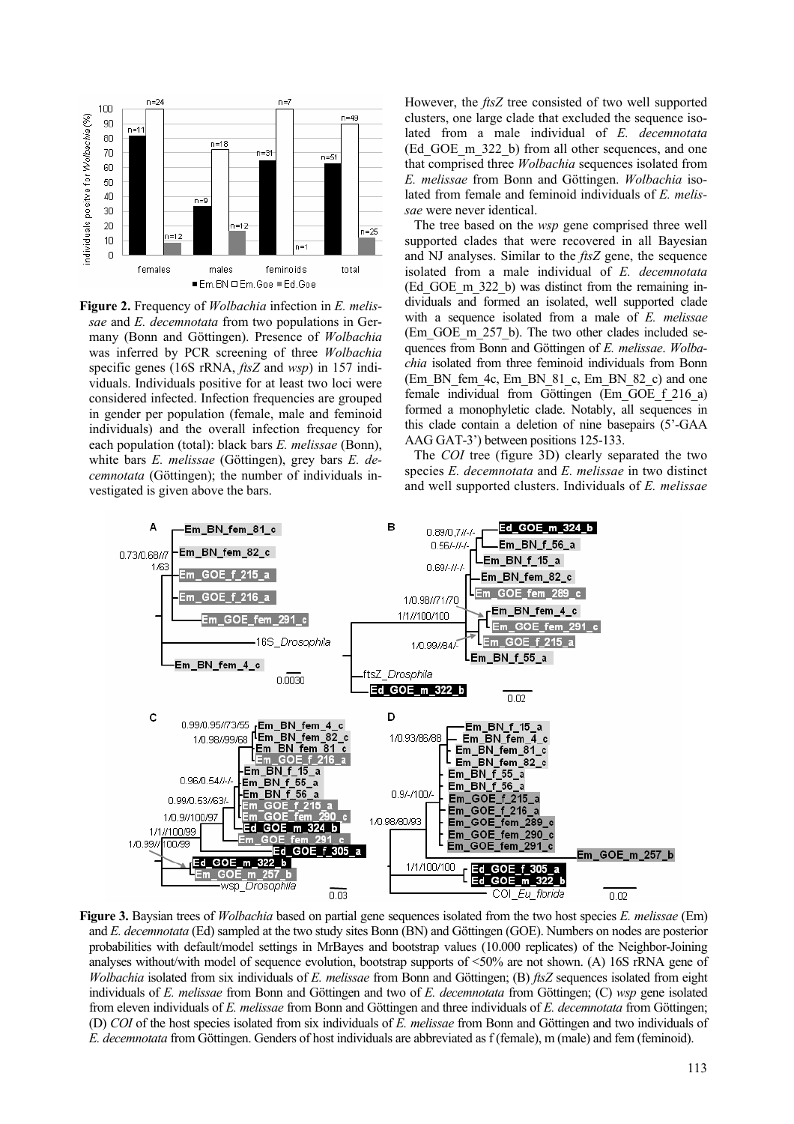

**Figure 2.** Frequency of *Wolbachia* infection in *E. melissae* and *E. decemnotata* from two populations in Germany (Bonn and Göttingen). Presence of *Wolbachia*  was inferred by PCR screening of three *Wolbachia* specific genes (16S rRNA, *ftsZ* and *wsp*) in 157 individuals. Individuals positive for at least two loci were considered infected. Infection frequencies are grouped in gender per population (female, male and feminoid individuals) and the overall infection frequency for each population (total): black bars *E. melissae* (Bonn), white bars *E. melissae* (Göttingen), grey bars *E. decemnotata* (Göttingen); the number of individuals investigated is given above the bars.

However, the *ftsZ* tree consisted of two well supported clusters, one large clade that excluded the sequence isolated from a male individual of *E. decemnotata* (Ed\_GOE\_m\_322\_b) from all other sequences, and one that comprised three *Wolbachia* sequences isolated from *E. melissae* from Bonn and Göttingen. *Wolbachia* isolated from female and feminoid individuals of *E. melissae* were never identical.

The tree based on the *wsp* gene comprised three well supported clades that were recovered in all Bayesian and NJ analyses. Similar to the *ftsZ* gene, the sequence isolated from a male individual of *E. decemnotata* (Ed\_GOE\_m\_322\_b) was distinct from the remaining individuals and formed an isolated, well supported clade with a sequence isolated from a male of *E. melissae* (Em\_GOE\_m\_257\_b). The two other clades included sequences from Bonn and Göttingen of *E. melissae*. *Wolbachia* isolated from three feminoid individuals from Bonn (Em\_BN\_fem\_4c, Em\_BN\_81\_c, Em\_BN\_82\_c) and one female individual from Göttingen (Em\_GOE\_f\_216\_a) formed a monophyletic clade. Notably, all sequences in this clade contain a deletion of nine basepairs (5'-GAA AAG GAT-3') between positions 125-133.

The *COI* tree (figure 3D) clearly separated the two species *E. decemnotata* and *E. melissae* in two distinct and well supported clusters. Individuals of *E. melissae*



**Figure 3.** Baysian trees of *Wolbachia* based on partial gene sequences isolated from the two host species *E. melissae* (Em) and *E. decemnotata* (Ed) sampled at the two study sites Bonn (BN) and Göttingen (GOE). Numbers on nodes are posterior probabilities with default/model settings in MrBayes and bootstrap values (10.000 replicates) of the Neighbor-Joining analyses without/with model of sequence evolution, bootstrap supports of <50% are not shown. (A) 16S rRNA gene of *Wolbachia* isolated from six individuals of *E. melissae* from Bonn and Göttingen; (B) *ftsZ* sequences isolated from eight individuals of *E. melissae* from Bonn and Göttingen and two of *E. decemnotata* from Göttingen; (C) *wsp* gene isolated from eleven individuals of *E. melissae* from Bonn and Göttingen and three individuals of *E. decemnotata* from Göttingen; (D) *COI* of the host species isolated from six individuals of *E. melissae* from Bonn and Göttingen and two individuals of *E. decemnotata* from Göttingen. Genders of host individuals are abbreviated as f (female), m (male) and fem (feminoid).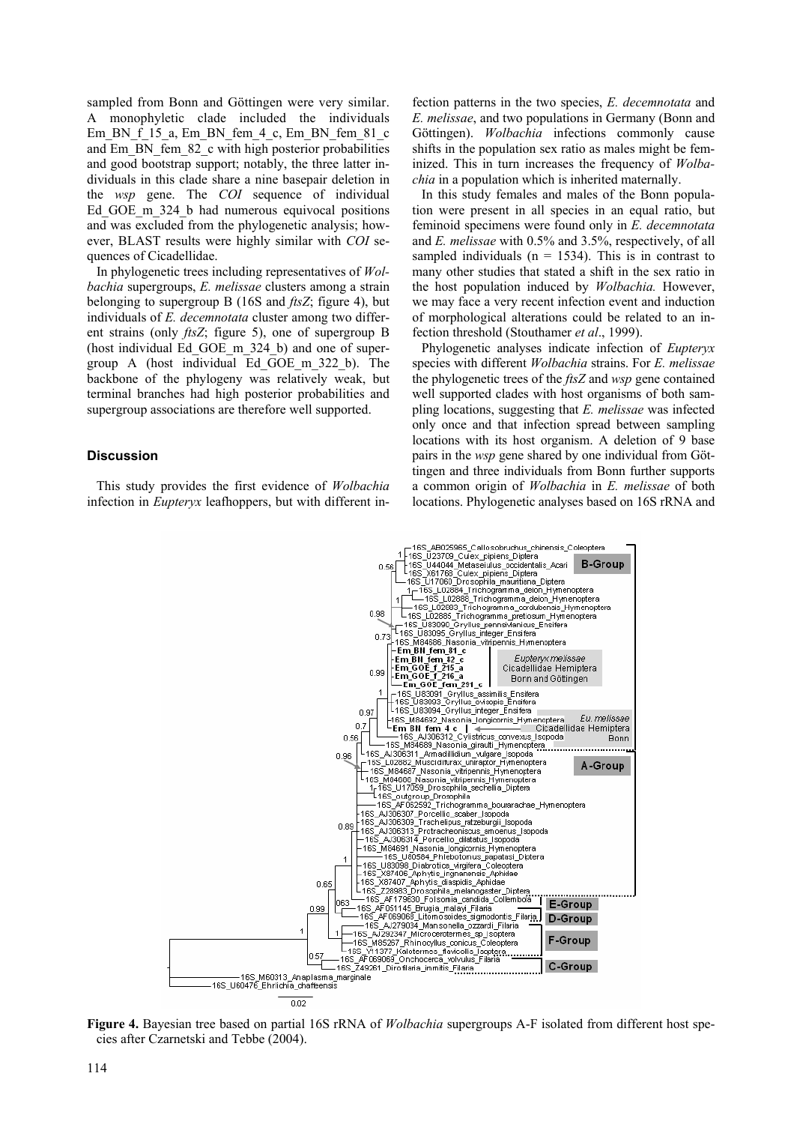sampled from Bonn and Göttingen were very similar. A monophyletic clade included the individuals Em BN  $\overline{f}$  15 a, Em\_BN\_fem\_4\_c, Em\_BN\_fem\_81\_c and Em\_BN\_fem\_82\_c with high posterior probabilities and good bootstrap support; notably, the three latter individuals in this clade share a nine basepair deletion in the *wsp* gene. The *COI* sequence of individual Ed GOE m 324 b had numerous equivocal positions and was excluded from the phylogenetic analysis; however, BLAST results were highly similar with *COI* sequences of Cicadellidae.

In phylogenetic trees including representatives of *Wolbachia* supergroups, *E. melissae* clusters among a strain belonging to supergroup B (16S and *ftsZ*; figure 4), but individuals of *E. decemnotata* cluster among two different strains (only *ftsZ*; figure 5), one of supergroup B (host individual Ed\_GOE\_m\_324\_b) and one of supergroup A (host individual Ed\_GOE\_m\_322\_b). The backbone of the phylogeny was relatively weak, but terminal branches had high posterior probabilities and supergroup associations are therefore well supported.

#### **Discussion**

This study provides the first evidence of *Wolbachia* infection in *Eupteryx* leafhoppers, but with different infection patterns in the two species, *E. decemnotata* and *E. melissae*, and two populations in Germany (Bonn and Göttingen). *Wolbachia* infections commonly cause shifts in the population sex ratio as males might be feminized. This in turn increases the frequency of *Wolbachia* in a population which is inherited maternally.

In this study females and males of the Bonn population were present in all species in an equal ratio, but feminoid specimens were found only in *E. decemnotata* and *E. melissae* with 0.5% and 3.5%, respectively, of all sampled individuals ( $n = 1534$ ). This is in contrast to many other studies that stated a shift in the sex ratio in the host population induced by *Wolbachia.* However, we may face a very recent infection event and induction of morphological alterations could be related to an infection threshold (Stouthamer *et al*., 1999).

Phylogenetic analyses indicate infection of *Eupteryx* species with different *Wolbachia* strains. For *E. melissae* the phylogenetic trees of the *ftsZ* and *wsp* gene contained well supported clades with host organisms of both sampling locations, suggesting that *E. melissae* was infected only once and that infection spread between sampling locations with its host organism. A deletion of 9 base pairs in the *wsp* gene shared by one individual from Göttingen and three individuals from Bonn further supports a common origin of *Wolbachia* in *E. melissae* of both locations. Phylogenetic analyses based on 16S rRNA and



**Figure 4.** Bayesian tree based on partial 16S rRNA of *Wolbachia* supergroups A-F isolated from different host species after Czarnetski and Tebbe (2004).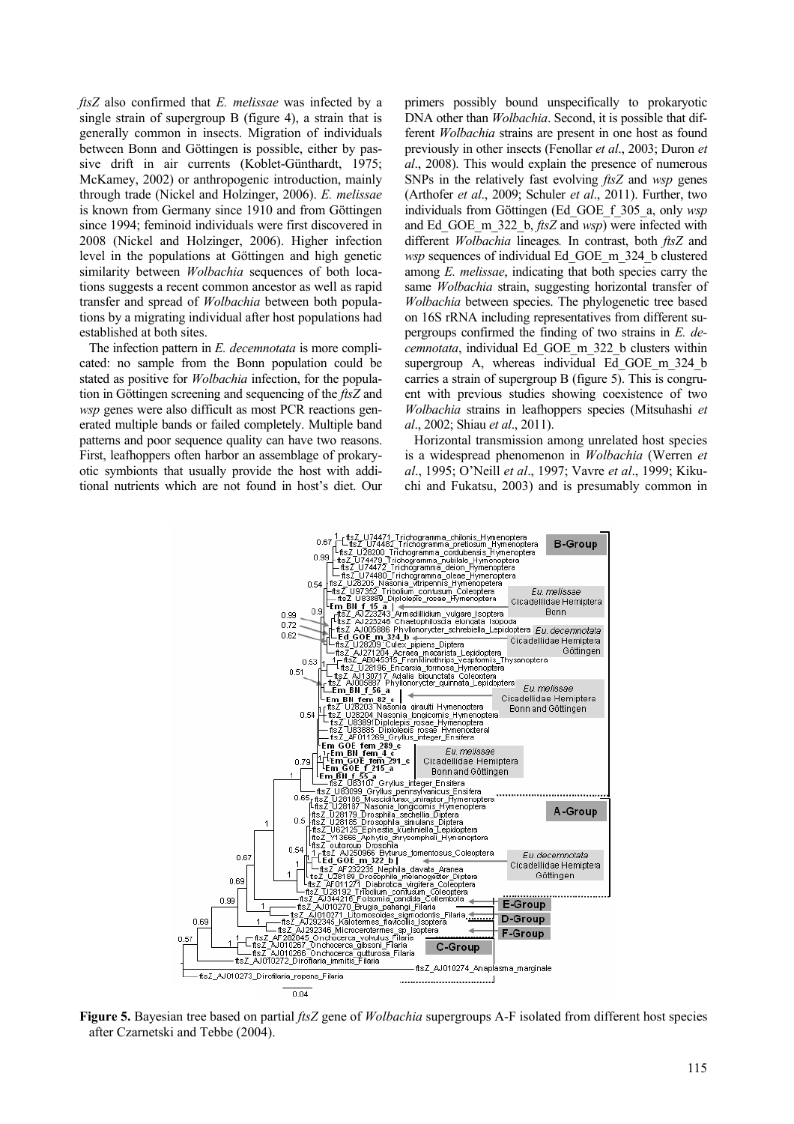*ftsZ* also confirmed that *E. melissae* was infected by a single strain of supergroup B (figure 4), a strain that is generally common in insects. Migration of individuals between Bonn and Göttingen is possible, either by passive drift in air currents (Koblet-Günthardt, 1975; McKamey, 2002) or anthropogenic introduction, mainly through trade (Nickel and Holzinger, 2006). *E. melissae* is known from Germany since 1910 and from Göttingen since 1994; feminoid individuals were first discovered in 2008 (Nickel and Holzinger, 2006). Higher infection level in the populations at Göttingen and high genetic similarity between *Wolbachia* sequences of both locations suggests a recent common ancestor as well as rapid transfer and spread of *Wolbachia* between both populations by a migrating individual after host populations had established at both sites.

The infection pattern in *E. decemnotata* is more complicated: no sample from the Bonn population could be stated as positive for *Wolbachia* infection, for the population in Göttingen screening and sequencing of the *ftsZ* and *wsp* genes were also difficult as most PCR reactions generated multiple bands or failed completely. Multiple band patterns and poor sequence quality can have two reasons. First, leafhoppers often harbor an assemblage of prokaryotic symbionts that usually provide the host with additional nutrients which are not found in host's diet. Our primers possibly bound unspecifically to prokaryotic DNA other than *Wolbachia*. Second, it is possible that different *Wolbachia* strains are present in one host as found previously in other insects (Fenollar *et al*., 2003; Duron *et al*., 2008). This would explain the presence of numerous SNPs in the relatively fast evolving *ftsZ* and *wsp* genes (Arthofer *et al*., 2009; Schuler *et al*., 2011). Further, two individuals from Göttingen (Ed\_GOE\_f\_305\_a, only *wsp* and Ed\_GOE\_m\_322\_b, *ftsZ* and *wsp*) were infected with different *Wolbachia* lineages*.* In contrast, both *ftsZ* and *wsp* sequences of individual Ed\_GOE\_m\_324\_b clustered among *E. melissae*, indicating that both species carry the same *Wolbachia* strain, suggesting horizontal transfer of *Wolbachia* between species. The phylogenetic tree based on 16S rRNA including representatives from different supergroups confirmed the finding of two strains in *E. decemnotata*, individual Ed\_GOE\_m\_322\_b clusters within supergroup A, whereas individual Ed GOE m 324 b carries a strain of supergroup B (figure 5). This is congruent with previous studies showing coexistence of two *Wolbachia* strains in leafhoppers species (Mitsuhashi *et al*., 2002; Shiau *et al*., 2011).

Horizontal transmission among unrelated host species is a widespread phenomenon in *Wolbachia* (Werren *et al*., 1995; O'Neill *et al*., 1997; Vavre *et al*., 1999; Kikuchi and Fukatsu, 2003) and is presumably common in



**Figure 5.** Bayesian tree based on partial *ftsZ* gene of *Wolbachia* supergroups A-F isolated from different host species after Czarnetski and Tebbe (2004).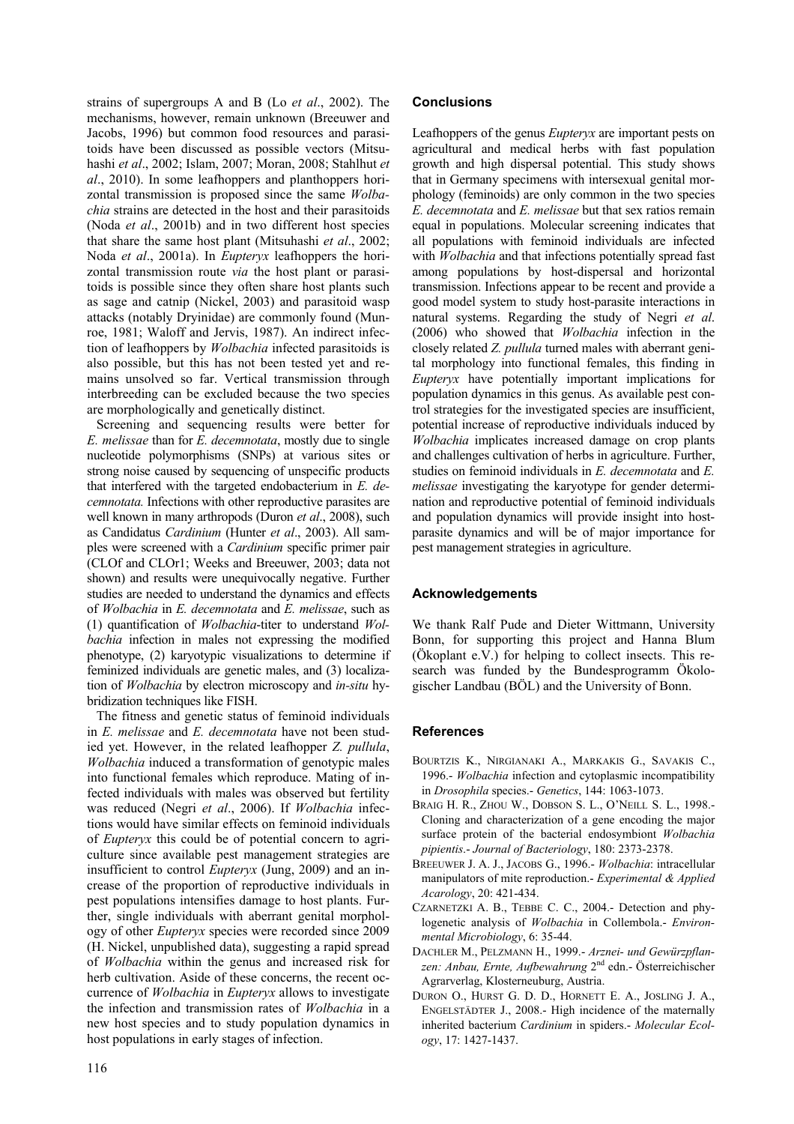strains of supergroups A and B (Lo *et al*., 2002). The mechanisms, however, remain unknown (Breeuwer and Jacobs, 1996) but common food resources and parasitoids have been discussed as possible vectors (Mitsuhashi *et al*., 2002; Islam, 2007; Moran, 2008; Stahlhut *et al*., 2010). In some leafhoppers and planthoppers horizontal transmission is proposed since the same *Wolbachia* strains are detected in the host and their parasitoids (Noda *et al*., 2001b) and in two different host species that share the same host plant (Mitsuhashi *et al*., 2002; Noda *et al*., 2001a). In *Eupteryx* leafhoppers the horizontal transmission route *via* the host plant or parasitoids is possible since they often share host plants such as sage and catnip (Nickel, 2003) and parasitoid wasp attacks (notably Dryinidae) are commonly found (Munroe, 1981; Waloff and Jervis, 1987). An indirect infection of leafhoppers by *Wolbachia* infected parasitoids is also possible, but this has not been tested yet and remains unsolved so far. Vertical transmission through interbreeding can be excluded because the two species are morphologically and genetically distinct.

Screening and sequencing results were better for *E. melissae* than for *E. decemnotata*, mostly due to single nucleotide polymorphisms (SNPs) at various sites or strong noise caused by sequencing of unspecific products that interfered with the targeted endobacterium in *E. decemnotata.* Infections with other reproductive parasites are well known in many arthropods (Duron *et al*., 2008), such as Candidatus *Cardinium* (Hunter *et al*., 2003). All samples were screened with a *Cardinium* specific primer pair (CLOf and CLOr1; Weeks and Breeuwer, 2003; data not shown) and results were unequivocally negative. Further studies are needed to understand the dynamics and effects of *Wolbachia* in *E. decemnotata* and *E. melissae*, such as (1) quantification of *Wolbachia*-titer to understand *Wolbachia* infection in males not expressing the modified phenotype, (2) karyotypic visualizations to determine if feminized individuals are genetic males, and (3) localization of *Wolbachia* by electron microscopy and *in-situ* hybridization techniques like FISH.

The fitness and genetic status of feminoid individuals in *E. melissae* and *E. decemnotata* have not been studied yet. However, in the related leafhopper *Z. pullula*, *Wolbachia* induced a transformation of genotypic males into functional females which reproduce. Mating of infected individuals with males was observed but fertility was reduced (Negri *et al*., 2006). If *Wolbachia* infections would have similar effects on feminoid individuals of *Eupteryx* this could be of potential concern to agriculture since available pest management strategies are insufficient to control *Eupteryx* (Jung, 2009) and an increase of the proportion of reproductive individuals in pest populations intensifies damage to host plants. Further, single individuals with aberrant genital morphology of other *Eupteryx* species were recorded since 2009 (H. Nickel, unpublished data), suggesting a rapid spread of *Wolbachia* within the genus and increased risk for herb cultivation. Aside of these concerns, the recent occurrence of *Wolbachia* in *Eupteryx* allows to investigate the infection and transmission rates of *Wolbachia* in a new host species and to study population dynamics in host populations in early stages of infection.

## **Conclusions**

Leafhoppers of the genus *Eupteryx* are important pests on agricultural and medical herbs with fast population growth and high dispersal potential. This study shows that in Germany specimens with intersexual genital morphology (feminoids) are only common in the two species *E. decemnotata* and *E. melissae* but that sex ratios remain equal in populations. Molecular screening indicates that all populations with feminoid individuals are infected with *Wolbachia* and that infections potentially spread fast among populations by host-dispersal and horizontal transmission. Infections appear to be recent and provide a good model system to study host-parasite interactions in natural systems. Regarding the study of Negri *et al*. (2006) who showed that *Wolbachia* infection in the closely related *Z. pullula* turned males with aberrant genital morphology into functional females, this finding in *Eupteryx* have potentially important implications for population dynamics in this genus. As available pest control strategies for the investigated species are insufficient, potential increase of reproductive individuals induced by *Wolbachia* implicates increased damage on crop plants and challenges cultivation of herbs in agriculture. Further, studies on feminoid individuals in *E. decemnotata* and *E. melissae* investigating the karyotype for gender determination and reproductive potential of feminoid individuals and population dynamics will provide insight into hostparasite dynamics and will be of major importance for pest management strategies in agriculture.

## **Acknowledgements**

We thank Ralf Pude and Dieter Wittmann, University Bonn, for supporting this project and Hanna Blum (Ökoplant e.V.) for helping to collect insects. This research was funded by the Bundesprogramm Ökologischer Landbau (BÖL) and the University of Bonn.

## **References**

- BOURTZIS K., NIRGIANAKI A., MARKAKIS G., SAVAKIS C., 1996.- *Wolbachia* infection and cytoplasmic incompatibility in *Drosophila* species.- *Genetics*, 144: 1063-1073.
- BRAIG H. R., ZHOU W., DOBSON S. L., O'NEILL S. L., 1998.- Cloning and characterization of a gene encoding the major surface protein of the bacterial endosymbiont *Wolbachia pipientis*.- *Journal of Bacteriology*, 180: 2373-2378.
- BREEUWER J. A. J., JACOBS G., 1996.- *Wolbachia*: intracellular manipulators of mite reproduction.- *Experimental & Applied Acarology*, 20: 421-434.
- CZARNETZKI A. B., TEBBE C. C., 2004.- Detection and phylogenetic analysis of *Wolbachia* in Collembola.- *Environmental Microbiology*, 6: 35-44.
- DACHLER M., PELZMANN H., 1999.- *Arznei- und Gewürzpflanzen: Anbau, Ernte, Aufbewahrung* 2nd edn.- Österreichischer Agrarverlag, Klosterneuburg, Austria.
- DURON O., HURST G. D. D., HORNETT E. A., JOSLING J. A., ENGELSTÄDTER J., 2008.- High incidence of the maternally inherited bacterium *Cardinium* in spiders.- *Molecular Ecology*, 17: 1427-1437.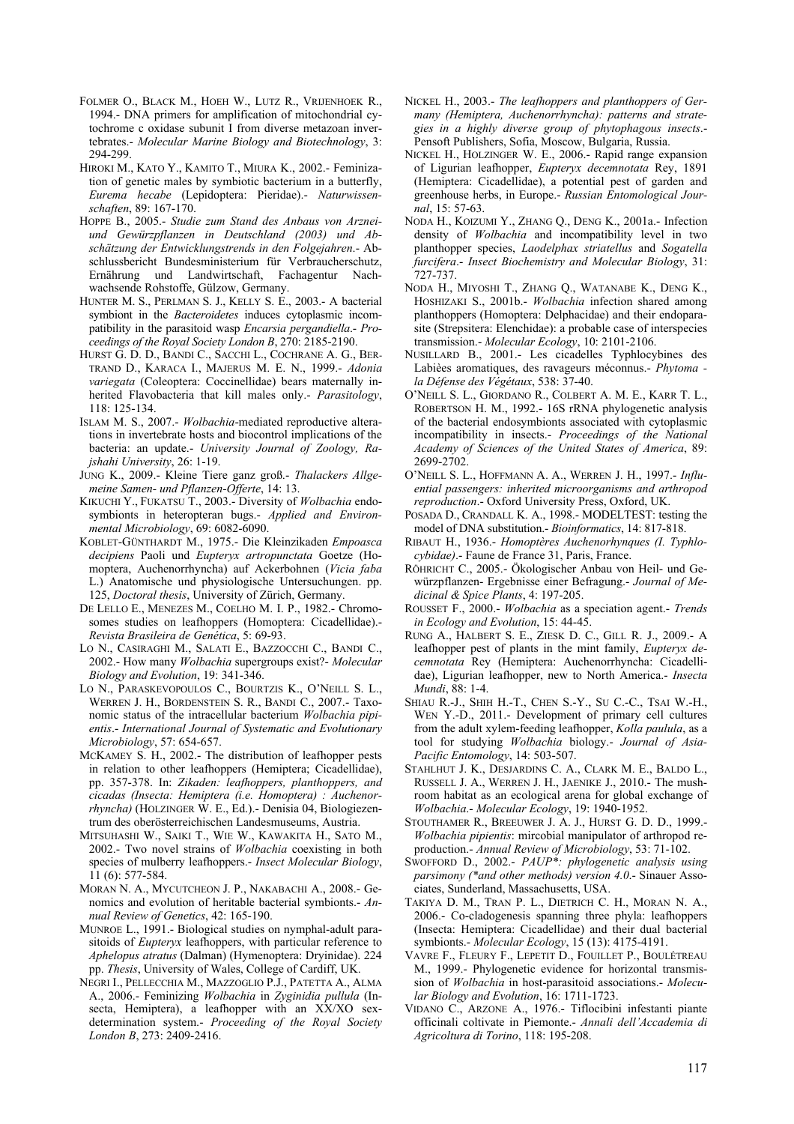- FOLMER O., BLACK M., HOEH W., LUTZ R., VRIJENHOEK R., 1994.- DNA primers for amplification of mitochondrial cytochrome c oxidase subunit I from diverse metazoan invertebrates.- *Molecular Marine Biology and Biotechnology*, 3: 294-299.
- HIROKI M., KATO Y., KAMITO T., MIURA K., 2002.- Feminization of genetic males by symbiotic bacterium in a butterfly, *Eurema hecabe* (Lepidoptera: Pieridae).- *Naturwissenschaften*, 89: 167-170.
- HOPPE B., 2005.- *Studie zum Stand des Anbaus von Arzneiund Gewürzpflanzen in Deutschland (2003) und Abschätzung der Entwicklungstrends in den Folgejahren*.- Abschlussbericht Bundesministerium für Verbraucherschutz, Ernährung und Landwirtschaft, Fachagentur Nachwachsende Rohstoffe, Gülzow, Germany.
- HUNTER M. S., PERLMAN S. J., KELLY S. E., 2003.- A bacterial symbiont in the *Bacteroidetes* induces cytoplasmic incompatibility in the parasitoid wasp *Encarsia pergandiella*.- *Proceedings of the Royal Society London B*, 270: 2185-2190.
- HURST G. D. D., BANDI C., SACCHI L., COCHRANE A. G., BER-TRAND D., KARACA I., MAJERUS M. E. N., 1999.- *Adonia variegata* (Coleoptera: Coccinellidae) bears maternally inherited Flavobacteria that kill males only.- *Parasitology*, 118: 125-134.
- ISLAM M. S., 2007.- *Wolbachia*-mediated reproductive alterations in invertebrate hosts and biocontrol implications of the bacteria: an update.- *University Journal of Zoology, Rajshahi University*, 26: 1-19.
- JUNG K., 2009.- Kleine Tiere ganz groß.- *Thalackers Allgemeine Samen- und Pflanzen-Offerte*, 14: 13.
- KIKUCHI Y., FUKATSU T., 2003.- Diversity of *Wolbachia* endosymbionts in heteropteran bugs.- *Applied and Environmental Microbiology*, 69: 6082-6090.
- KOBLET-GÜNTHARDT M., 1975.- Die Kleinzikaden *Empoasca decipiens* Paoli und *Eupteryx artropunctata* Goetze (Homoptera, Auchenorrhyncha) auf Ackerbohnen (*Vicia faba* L.) Anatomische und physiologische Untersuchungen. pp. 125, *Doctoral thesis*, University of Zürich, Germany.
- DE LELLO E., MENEZES M., COELHO M. I. P., 1982.- Chromosomes studies on leafhoppers (Homoptera: Cicadellidae).- *Revista Brasileira de Genética*, 5: 69-93.
- LO N., CASIRAGHI M., SALATI E., BAZZOCCHI C., BANDI C., 2002.- How many *Wolbachia* supergroups exist?- *Molecular Biology and Evolution*, 19: 341-346.
- LO N., PARASKEVOPOULOS C., BOURTZIS K., O'NEILL S. L., WERREN J. H., BORDENSTEIN S. R., BANDI C., 2007.- Taxonomic status of the intracellular bacterium *Wolbachia pipientis*.- *International Journal of Systematic and Evolutionary Microbiology*, 57: 654-657.
- MCKAMEY S. H., 2002.- The distribution of leafhopper pests in relation to other leafhoppers (Hemiptera; Cicadellidae), pp. 357-378. In: *Zikaden: leafhoppers, planthoppers, and cicadas (Insecta: Hemiptera (i.e. Homoptera) : Auchenorrhyncha)* (HOLZINGER W. E., Ed.).- Denisia 04, Biologiezentrum des oberösterreichischen Landesmuseums, Austria.
- MITSUHASHI W., SAIKI T., WIE W., KAWAKITA H., SATO M., 2002.- Two novel strains of *Wolbachia* coexisting in both species of mulberry leafhoppers.- *Insect Molecular Biology*, 11 (6): 577-584.
- MORAN N. A., MYCUTCHEON J. P., NAKABACHI A., 2008.- Genomics and evolution of heritable bacterial symbionts.- *Annual Review of Genetics*, 42: 165-190.
- MUNROE L., 1991.- Biological studies on nymphal-adult parasitoids of *Eupteryx* leafhoppers, with particular reference to *Aphelopus atratus* (Dalman) (Hymenoptera: Dryinidae). 224 pp. *Thesis*, University of Wales, College of Cardiff, UK.
- NEGRI I., PELLECCHIA M., MAZZOGLIO P.J., PATETTA A., ALMA A., 2006.- Feminizing *Wolbachia* in *Zyginidia pullula* (Insecta, Hemiptera), a leafhopper with an XX/XO sexdetermination system.- *Proceeding of the Royal Society London B*, 273: 2409-2416.
- NICKEL H., 2003.- *The leafhoppers and planthoppers of Germany (Hemiptera, Auchenorrhyncha): patterns and strategies in a highly diverse group of phytophagous insects*.- Pensoft Publishers, Sofia, Moscow, Bulgaria, Russia.
- NICKEL H., HOLZINGER W. E., 2006.- Rapid range expansion of Ligurian leafhopper, *Eupteryx decemnotata* Rey, 1891 (Hemiptera: Cicadellidae), a potential pest of garden and greenhouse herbs, in Europe.- *Russian Entomological Journal*, 15: 57-63.
- NODA H., KOIZUMI Y., ZHANG Q., DENG K., 2001a.- Infection density of *Wolbachia* and incompatibility level in two planthopper species, *Laodelphax striatellus* and *Sogatella furcifera*.- *Insect Biochemistry and Molecular Biology*, 31: 727-737.
- NODA H., MIYOSHI T., ZHANG Q., WATANABE K., DENG K., HOSHIZAKI S., 2001b.- *Wolbachia* infection shared among planthoppers (Homoptera: Delphacidae) and their endoparasite (Strepsitera: Elenchidae): a probable case of interspecies transmission.- *Molecular Ecology*, 10: 2101-2106.
- NUSILLARD B., 2001.- Les cicadelles Typhlocybines des Labièes aromatiques, des ravageurs méconnus.- *Phytoma la Défense des Végétaux*, 538: 37-40.
- O'NEILL S. L., GIORDANO R., COLBERT A. M. E., KARR T. L., ROBERTSON H. M., 1992.- 16S rRNA phylogenetic analysis of the bacterial endosymbionts associated with cytoplasmic incompatibility in insects.- *Proceedings of the National Academy of Sciences of the United States of America*, 89: 2699-2702.
- O'NEILL S. L., HOFFMANN A. A., WERREN J. H., 1997.- *Influential passengers: inherited microorganisms and arthropod reproduction*.- Oxford University Press, Oxford, UK.
- POSADA D., CRANDALL K. A., 1998.- MODELTEST: testing the model of DNA substitution.- *Bioinformatics*, 14: 817-818.
- RIBAUT H., 1936.- *Homoptères Auchenorhynques (I. Typhlocybidae)*.- Faune de France 31, Paris, France.
- RÖHRICHT C., 2005.- Ökologischer Anbau von Heil- und Gewürzpflanzen- Ergebnisse einer Befragung.- *Journal of Medicinal & Spice Plants*, 4: 197-205.
- ROUSSET F., 2000.- *Wolbachia* as a speciation agent.- *Trends in Ecology and Evolution*, 15: 44-45.
- RUNG A., HALBERT S. E., ZIESK D. C., GILL R. J., 2009.- A leafhopper pest of plants in the mint family, *Eupteryx decemnotata* Rey (Hemiptera: Auchenorrhyncha: Cicadellidae), Ligurian leafhopper, new to North America.- *Insecta Mundi*, 88: 1-4.
- SHIAU R.-J., SHIH H.-T., CHEN S.-Y., SU C.-C., TSAI W.-H., WEN Y.-D., 2011.- Development of primary cell cultures from the adult xylem-feeding leafhopper, *Kolla paulula*, as a tool for studying *Wolbachia* biology.- *Journal of Asia-Pacific Entomology*, 14: 503-507.
- STAHLHUT J. K., DESJARDINS C. A., CLARK M. E., BALDO L., RUSSELL J. A., WERREN J. H., JAENIKE J., 2010.- The mushroom habitat as an ecological arena for global exchange of *Wolbachia*.- *Molecular Ecology*, 19: 1940-1952.
- STOUTHAMER R., BREEUWER J. A. J., HURST G. D. D., 1999.- *Wolbachia pipientis*: mircobial manipulator of arthropod reproduction.- *Annual Review of Microbiology*, 53: 71-102.
- SWOFFORD D., 2002.- *PAUP\*: phylogenetic analysis using parsimony (\*and other methods) version 4.0*.- Sinauer Associates, Sunderland, Massachusetts, USA.
- TAKIYA D. M., TRAN P. L., DIETRICH C. H., MORAN N. A., 2006.- Co-cladogenesis spanning three phyla: leafhoppers (Insecta: Hemiptera: Cicadellidae) and their dual bacterial symbionts.- *Molecular Ecology*, 15 (13): 4175-4191.
- VAVRE F., FLEURY F., LEPETIT D., FOUILLET P., BOULÉTREAU M., 1999.- Phylogenetic evidence for horizontal transmission of *Wolbachia* in host-parasitoid associations.- *Molecular Biology and Evolution*, 16: 1711-1723.
- VIDANO C., ARZONE A., 1976.- Tiflocibini infestanti piante officinali coltivate in Piemonte.- *Annali dell'Accademia di Agricoltura di Torino*, 118: 195-208.